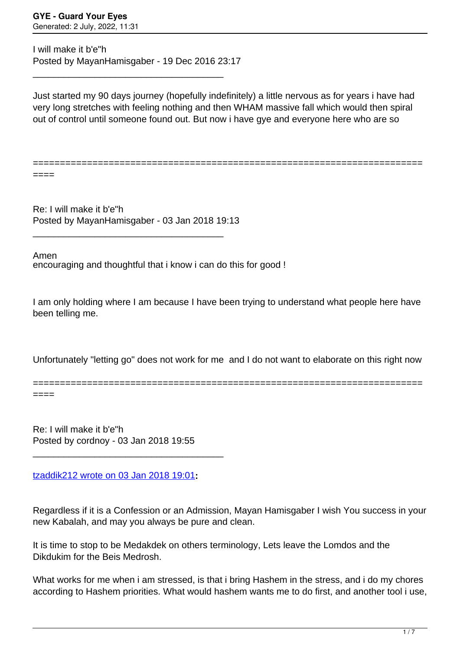I will make it b'e"h Posted by MayanHamisgaber - 19 Dec 2016 23:17

\_\_\_\_\_\_\_\_\_\_\_\_\_\_\_\_\_\_\_\_\_\_\_\_\_\_\_\_\_\_\_\_\_\_\_\_\_

Just started my 90 days journey (hopefully indefinitely) a little nervous as for years i have had very long stretches with feeling nothing and then WHAM massive fall which would then spiral out of control until someone found out. But now i have ave and everyone here who are so

========================================================================

====

Re: I will make it b'e"h Posted by MayanHamisgaber - 03 Jan 2018 19:13

\_\_\_\_\_\_\_\_\_\_\_\_\_\_\_\_\_\_\_\_\_\_\_\_\_\_\_\_\_\_\_\_\_\_\_\_\_

encouraging and thoughtful that i know i can do this for good ! Amen

I am only holding where I am because I have been trying to understand what people here have been telling me.

Unfortunately "letting go" does not work for me and I do not want to elaborate on this right now

========================================================================

====

Re: I will make it b'e"h Posted by cordnoy - 03 Jan 2018 19:55

\_\_\_\_\_\_\_\_\_\_\_\_\_\_\_\_\_\_\_\_\_\_\_\_\_\_\_\_\_\_\_\_\_\_\_\_\_

[tzaddik212 wrote on 03 Jan 2018 19:01](/forum/4-On-the-Way-to-90-Days/324647-Re-I-will-make-it-beh)**:**

Regardless if it is a Confession or an Admission, Mayan Hamisgaber I wish You success in your new Kabalah, and may you always be pure and clean.

It is time to stop to be Medakdek on others terminology, Lets leave the Lomdos and the Dikdukim for the Beis Medrosh.

What works for me when i am stressed, is that i bring Hashem in the stress, and i do my chores according to Hashem priorities. What would hashem wants me to do first, and another tool i use,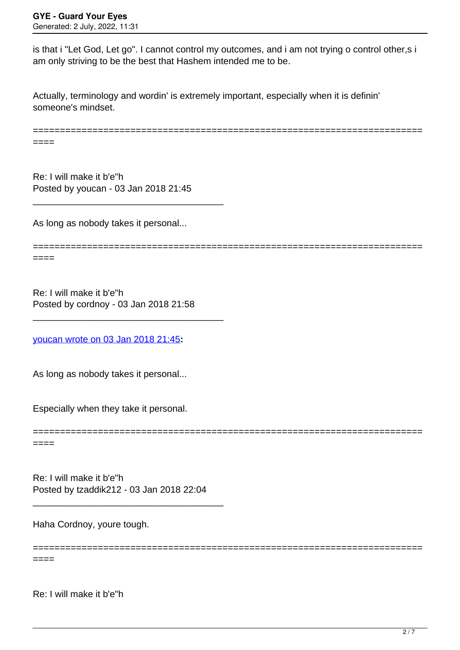is that i "Let God, Let go". I cannot control my outcomes, and i am not trying o control other,s i am only striving to be the best that Hashem intended me to be.

Actually, terminology and wordin' is extremely important, especially when it is definin' someone's mindset.

======================================================================== ====

Re: I will make it b'e"h Posted by youcan - 03 Jan 2018 21:45

\_\_\_\_\_\_\_\_\_\_\_\_\_\_\_\_\_\_\_\_\_\_\_\_\_\_\_\_\_\_\_\_\_\_\_\_\_

As long as nobody takes it personal...

========================================================================  $====$ 

========================================================================

========================================================================

Re: I will make it b'e"h Posted by cordnoy - 03 Jan 2018 21:58

\_\_\_\_\_\_\_\_\_\_\_\_\_\_\_\_\_\_\_\_\_\_\_\_\_\_\_\_\_\_\_\_\_\_\_\_\_

[youcan wrote on 03 Jan 2018 21:45](/forum/4-On-the-Way-to-90-Days/324656-Re-I-will-make-it-beh)**:**

As long as nobody takes it personal...

Especially when they take it personal.

====

Re: I will make it b'e"h Posted by tzaddik212 - 03 Jan 2018 22:04

\_\_\_\_\_\_\_\_\_\_\_\_\_\_\_\_\_\_\_\_\_\_\_\_\_\_\_\_\_\_\_\_\_\_\_\_\_

Haha Cordnoy, youre tough.

 $====$ 

Re: I will make it b'e"h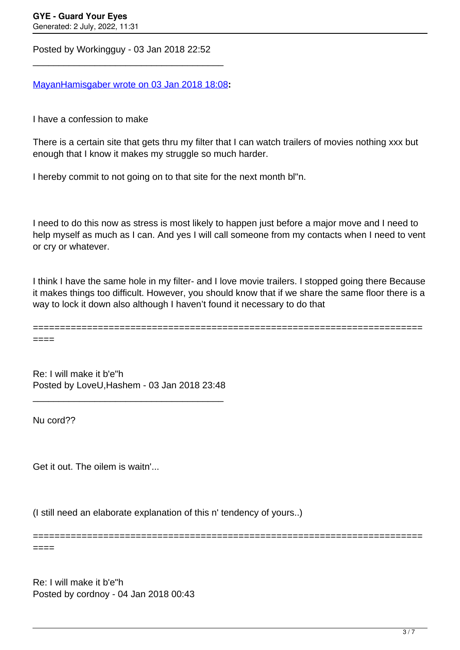Posted by Workingguy - 03 Jan 2018 22:52

\_\_\_\_\_\_\_\_\_\_\_\_\_\_\_\_\_\_\_\_\_\_\_\_\_\_\_\_\_\_\_\_\_\_\_\_\_

[MayanHamisgaber wrote on 03 Jan 2018 18:08](/forum/4-On-the-Way-to-90-Days/324643-Re-I-will-make-it-beh)**:**

I have a confession to make

There is a certain site that gets thru my filter that I can watch trailers of movies nothing xxx but enough that I know it makes my struggle so much harder.

I hereby commit to not going on to that site for the next month bl"n.

I need to do this now as stress is most likely to happen just before a major move and I need to help myself as much as I can. And yes I will call someone from my contacts when I need to vent or cry or whatever.

I think I have the same hole in my filter- and I love movie trailers. I stopped going there Because it makes things too difficult. However, you should know that if we share the same floor there is a way to lock it down also although I haven't found it necessary to do that

========================================================================

========================================================================

====

Re: I will make it b'e"h Posted by LoveU,Hashem - 03 Jan 2018 23:48

\_\_\_\_\_\_\_\_\_\_\_\_\_\_\_\_\_\_\_\_\_\_\_\_\_\_\_\_\_\_\_\_\_\_\_\_\_

Nu cord??

====

Get it out. The oilem is waitn'...

(I still need an elaborate explanation of this n' tendency of yours..)

Re: I will make it b'e"h Posted by cordnoy - 04 Jan 2018 00:43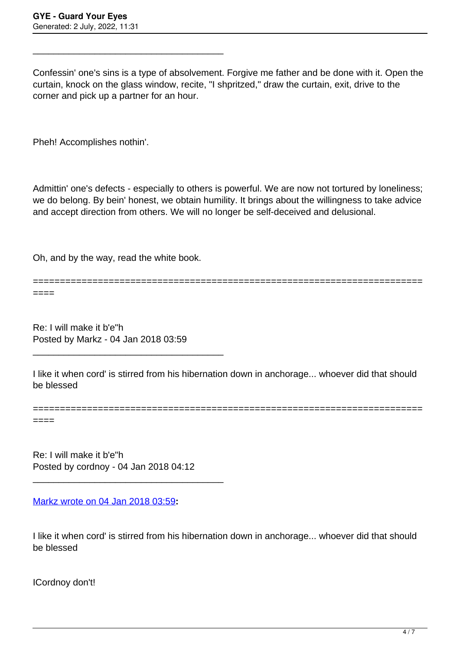\_\_\_\_\_\_\_\_\_\_\_\_\_\_\_\_\_\_\_\_\_\_\_\_\_\_\_\_\_\_\_\_\_\_\_\_\_

Confessin' one's sins is a type of absolvement. Forgive me father and be done with it. Open the curtain, knock on the glass window, recite, "I shpritzed," draw the curtain, exit, drive to the corner and pick up a partner for an hour.

Pheh! Accomplishes nothin'.

Admittin' one's defects - especially to others is powerful. We are now not tortured by loneliness; we do belong. By bein' honest, we obtain humility. It brings about the willingness to take advice and accept direction from others. We will no longer be self-deceived and delusional.

Oh, and by the way, read the white book.

======================================================================== ====

Re: I will make it b'e"h Posted by Markz - 04 Jan 2018 03:59

\_\_\_\_\_\_\_\_\_\_\_\_\_\_\_\_\_\_\_\_\_\_\_\_\_\_\_\_\_\_\_\_\_\_\_\_\_

I like it when cord' is stirred from his hibernation down in anchorage... whoever did that should be blessed

========================================================================

====

Re: I will make it b'e"h Posted by cordnoy - 04 Jan 2018 04:12

\_\_\_\_\_\_\_\_\_\_\_\_\_\_\_\_\_\_\_\_\_\_\_\_\_\_\_\_\_\_\_\_\_\_\_\_\_

[Markz wrote on 04 Jan 2018 03:59](/forum/4-On-the-Way-to-90-Days/324673-Re-I-will-make-it-beh)**:**

I like it when cord' is stirred from his hibernation down in anchorage... whoever did that should be blessed

ICordnoy don't!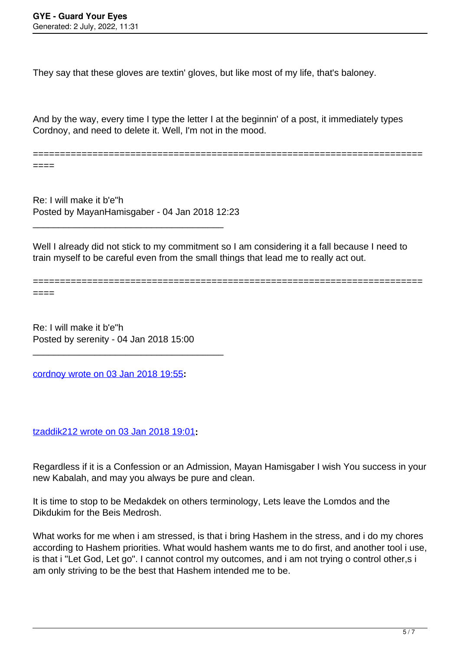====

They say that these gloves are textin' gloves, but like most of my life, that's baloney.

And by the way, every time I type the letter I at the beginnin' of a post, it immediately types Cordnoy, and need to delete it. Well, I'm not in the mood.

========================================================================

Re: I will make it b'e"h Posted by MayanHamisgaber - 04 Jan 2018 12:23

\_\_\_\_\_\_\_\_\_\_\_\_\_\_\_\_\_\_\_\_\_\_\_\_\_\_\_\_\_\_\_\_\_\_\_\_\_

Well I already did not stick to my commitment so I am considering it a fall because I need to train myself to be careful even from the small things that lead me to really act out.

======================================================================== ====

Re: I will make it b'e"h Posted by serenity - 04 Jan 2018 15:00

\_\_\_\_\_\_\_\_\_\_\_\_\_\_\_\_\_\_\_\_\_\_\_\_\_\_\_\_\_\_\_\_\_\_\_\_\_

[cordnoy wrote on 03 Jan 2018 19:55](/forum/4-On-the-Way-to-90-Days/324652-Re-I-will-make-it-beh)**:**

[tzaddik212 wrote on 03 Jan 2018 19:01](/forum/4-On-the-Way-to-90-Days/324647-Re-I-will-make-it-beh)**:**

Regardless if it is a Confession or an Admission, Mayan Hamisgaber I wish You success in your new Kabalah, and may you always be pure and clean.

It is time to stop to be Medakdek on others terminology, Lets leave the Lomdos and the Dikdukim for the Beis Medrosh.

What works for me when i am stressed, is that i bring Hashem in the stress, and i do my chores according to Hashem priorities. What would hashem wants me to do first, and another tool i use, is that i "Let God, Let go". I cannot control my outcomes, and i am not trying o control other,s i am only striving to be the best that Hashem intended me to be.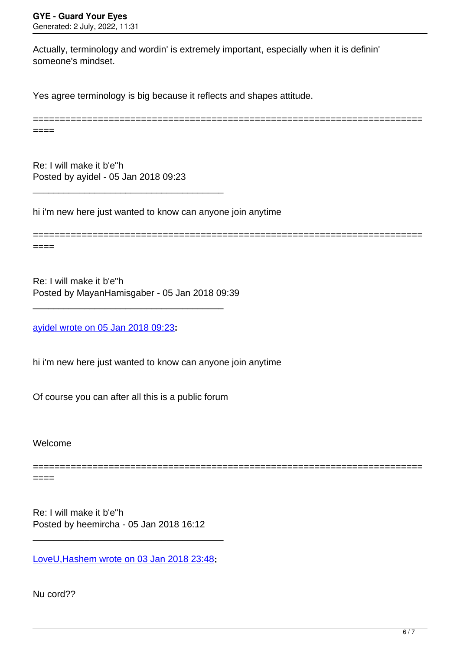Actually, terminology and wordin' is extremely important, especially when it is definin' someone's mindset.

Yes agree terminology is big because it reflects and shapes attitude.

======================================================================== ====

Re: I will make it b'e"h Posted by ayidel - 05 Jan 2018 09:23

\_\_\_\_\_\_\_\_\_\_\_\_\_\_\_\_\_\_\_\_\_\_\_\_\_\_\_\_\_\_\_\_\_\_\_\_\_

hi i'm new here just wanted to know can anyone join anytime

========================================================================

====

Re: I will make it b'e"h Posted by MayanHamisgaber - 05 Jan 2018 09:39

\_\_\_\_\_\_\_\_\_\_\_\_\_\_\_\_\_\_\_\_\_\_\_\_\_\_\_\_\_\_\_\_\_\_\_\_\_

[ayidel wrote on 05 Jan 2018 09:23](/forum/4-On-the-Way-to-90-Days/324767-Re-I-will-make-it-beh)**:**

hi i'm new here just wanted to know can anyone join anytime

Of course you can after all this is a public forum

Welcome

========================================================================

====

Re: I will make it b'e"h Posted by heemircha - 05 Jan 2018 16:12

[LoveU,Hashem wrote on 03 Jan 2018 23:48](/forum/4-On-the-Way-to-90-Days/324666-Re-I-will-make-it-beh)**:**

\_\_\_\_\_\_\_\_\_\_\_\_\_\_\_\_\_\_\_\_\_\_\_\_\_\_\_\_\_\_\_\_\_\_\_\_\_

Nu cord??